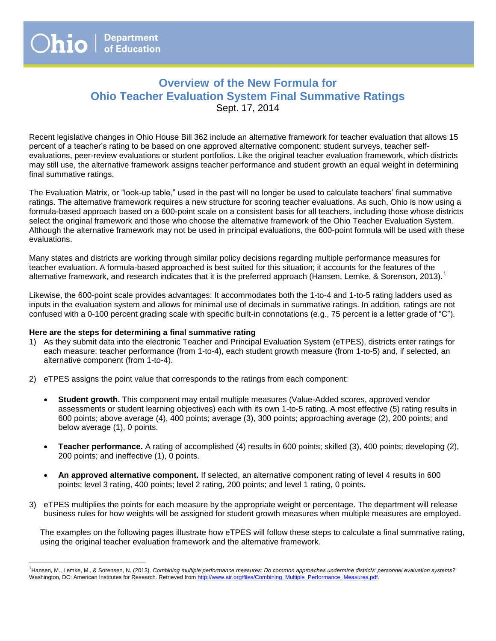# **Overview of the New Formula for Ohio Teacher Evaluation System Final Summative Ratings**  Sept. 17, 2014

Recent legislative changes in Ohio House Bill 362 include an alternative framework for teacher evaluation that allows 15 percent of a teacher's rating to be based on one approved alternative component: student surveys, teacher selfevaluations, peer-review evaluations or student portfolios. Like the original teacher evaluation framework, which districts may still use, the alternative framework assigns teacher performance and student growth an equal weight in determining final summative ratings.

The Evaluation Matrix, or "look-up table," used in the past will no longer be used to calculate teachers' final summative ratings. The alternative framework requires a new structure for scoring teacher evaluations. As such, Ohio is now using a formula-based approach based on a 600-point scale on a consistent basis for all teachers, including those whose districts select the original framework and those who choose the alternative framework of the Ohio Teacher Evaluation System. Although the alternative framework may not be used in principal evaluations, the 600-point formula will be used with these evaluations.

Many states and districts are working through similar policy decisions regarding multiple performance measures for teacher evaluation. A formula-based approached is best suited for this situation; it accounts for the features of the alternative framework, and research indicates that it is the preferred approach (Hansen, Lemke, & Sorenson, 2013).<sup>1</sup>

Likewise, the 600-point scale provides advantages: It accommodates both the 1-to-4 and 1-to-5 rating ladders used as inputs in the evaluation system and allows for minimal use of decimals in summative ratings. In addition, ratings are not confused with a 0-100 percent grading scale with specific built-in connotations (e.g., 75 percent is a letter grade of "C").

#### **Here are the steps for determining a final summative rating**

 $\overline{a}$ 

- 1) As they submit data into the electronic Teacher and Principal Evaluation System (eTPES), districts enter ratings for each measure: teacher performance (from 1-to-4), each student growth measure (from 1-to-5) and, if selected, an alternative component (from 1-to-4).
- 2) eTPES assigns the point value that corresponds to the ratings from each component:
	- **Student growth.** This component may entail multiple measures (Value-Added scores, approved vendor assessments or student learning objectives) each with its own 1-to-5 rating. A most effective (5) rating results in 600 points; above average (4), 400 points; average (3), 300 points; approaching average (2), 200 points; and below average (1), 0 points.
	- **Teacher performance.** A rating of accomplished (4) results in 600 points; skilled (3), 400 points; developing (2), 200 points; and ineffective (1), 0 points.
	- **An approved alternative component.** If selected, an alternative component rating of level 4 results in 600 points; level 3 rating, 400 points; level 2 rating, 200 points; and level 1 rating, 0 points.
- 3) eTPES multiplies the points for each measure by the appropriate weight or percentage. The department will release business rules for how weights will be assigned for student growth measures when multiple measures are employed.

The examples on the following pages illustrate how eTPES will follow these steps to calculate a final summative rating, using the original teacher evaluation framework and the alternative framework.

<sup>1</sup> Hansen, M., Lemke, M., & Sorensen, N. (2013). *Combining multiple performance measures: Do common approaches undermine districts' personnel evaluation systems?*  Washington, DC: American Institutes for Research. Retrieved from http://www.air.org/files/Combining\_Multiple\_Performance\_Measures.pdf.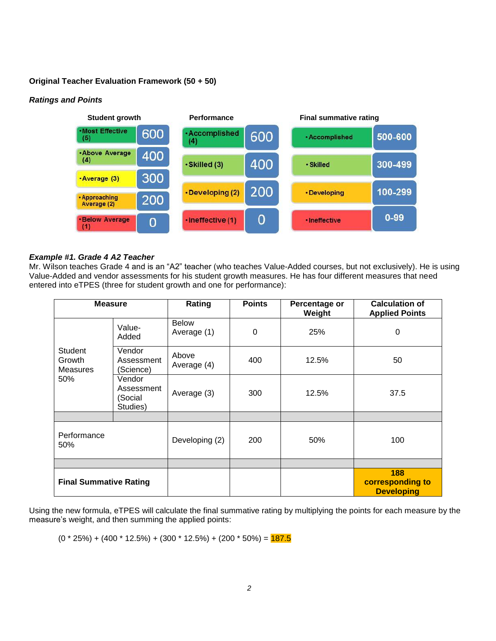#### **Original Teacher Evaluation Framework (50 + 50)**

## *Ratings and Points*



#### *Example #1. Grade 4 A2 Teacher*

Mr. Wilson teaches Grade 4 and is an "A2" teacher (who teaches Value-Added courses, but not exclusively). He is using Value-Added and vendor assessments for his student growth measures. He has four different measures that need entered into eTPES (three for student growth and one for performance):

| <b>Measure</b>                              |                                             | Rating                      | <b>Points</b> | Percentage or<br>Weight | <b>Calculation of</b><br><b>Applied Points</b> |
|---------------------------------------------|---------------------------------------------|-----------------------------|---------------|-------------------------|------------------------------------------------|
| Student<br>Growth<br><b>Measures</b><br>50% | Value-<br>Added                             | <b>Below</b><br>Average (1) | 0             | 25%                     | 0                                              |
|                                             | Vendor<br>Assessment<br>(Science)           | Above<br>Average (4)        | 400           | 12.5%                   | 50                                             |
|                                             | Vendor<br>Assessment<br>(Social<br>Studies) | Average (3)                 | 300           | 12.5%                   | 37.5                                           |
|                                             |                                             |                             |               |                         |                                                |
| Performance<br>50%                          |                                             | Developing (2)              | 200           | 50%                     | 100                                            |
|                                             |                                             |                             |               |                         |                                                |
| <b>Final Summative Rating</b>               |                                             |                             |               |                         | 188<br>corresponding to<br><b>Developing</b>   |

Using the new formula, eTPES will calculate the final summative rating by multiplying the points for each measure by the measure's weight, and then summing the applied points:

 $(0 * 25%) + (400 * 12.5%) + (300 * 12.5%) + (200 * 50%) = **187.5**$